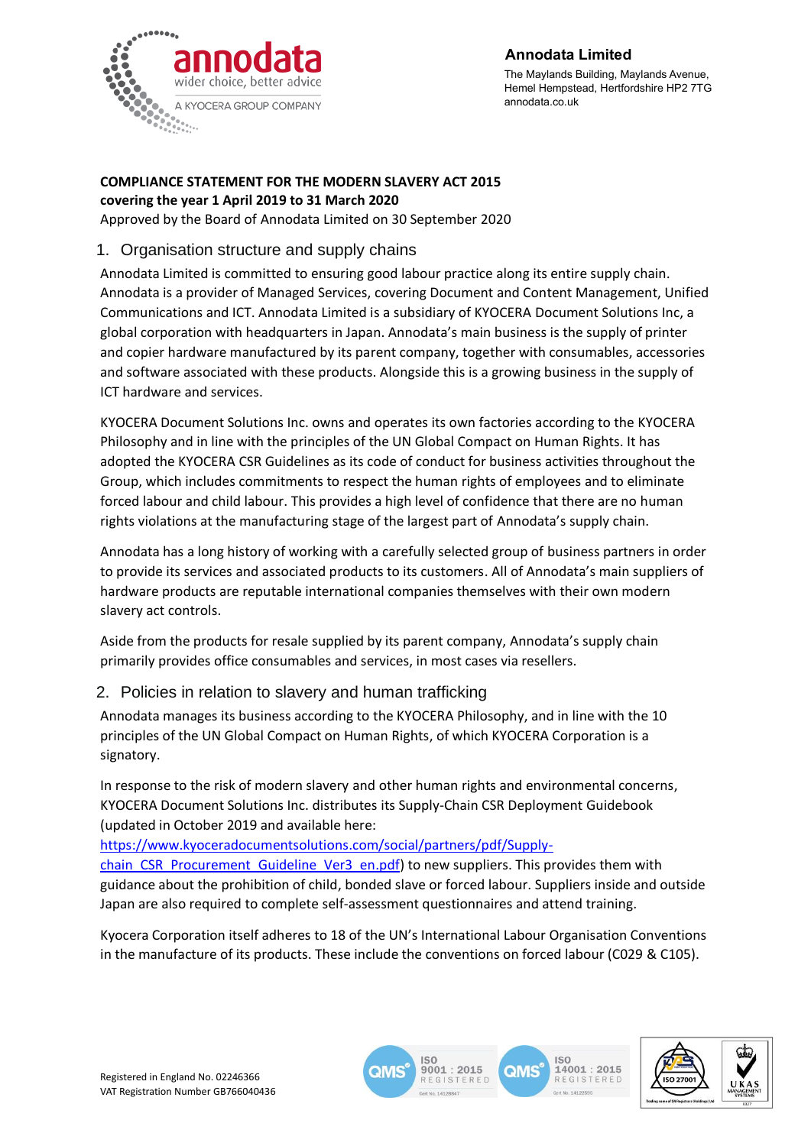

#### **Annodata Limited**

The Maylands Building, Maylands Avenue, Hemel Hempstead, Hertfordshire HP2 7TG annodata.co.uk

#### **COMPLIANCE STATEMENT FOR THE MODERN SLAVERY ACT 2015 covering the year 1 April 2019 to 31 March 2020**

Approved by the Board of Annodata Limited on 30 September 2020

## 1. Organisation structure and supply chains

Annodata Limited is committed to ensuring good labour practice along its entire supply chain. Annodata is a provider of Managed Services, covering Document and Content Management, Unified Communications and ICT. Annodata Limited is a subsidiary of KYOCERA Document Solutions Inc, a global corporation with headquarters in Japan. Annodata's main business is the supply of printer and copier hardware manufactured by its parent company, together with consumables, accessories and software associated with these products. Alongside this is a growing business in the supply of ICT hardware and services.

KYOCERA Document Solutions Inc. owns and operates its own factories according to the KYOCERA Philosophy and in line with the principles of the UN Global Compact on Human Rights. It has adopted the KYOCERA CSR Guidelines as its code of conduct for business activities throughout the Group, which includes commitments to respect the human rights of employees and to eliminate forced labour and child labour. This provides a high level of confidence that there are no human rights violations at the manufacturing stage of the largest part of Annodata's supply chain.

Annodata has a long history of working with a carefully selected group of business partners in order to provide its services and associated products to its customers. All of Annodata's main suppliers of hardware products are reputable international companies themselves with their own modern slavery act controls.

Aside from the products for resale supplied by its parent company, Annodata's supply chain primarily provides office consumables and services, in most cases via resellers.

# 2. Policies in relation to slavery and human trafficking

Annodata manages its business according to the KYOCERA Philosophy, and in line with the 10 principles of the UN Global Compact on Human Rights, of which KYOCERA Corporation is a signatory.

In response to the risk of modern slavery and other human rights and environmental concerns, KYOCERA Document Solutions Inc. distributes its Supply-Chain CSR Deployment Guidebook (updated in October 2019 and available here:

[https://www.kyoceradocumentsolutions.com/social/partners/pdf/Supply](https://www.kyoceradocumentsolutions.com/social/partners/pdf/Supply-chain_CSR_Procurement_Guideline_Ver3_en.pdf)[chain\\_CSR\\_Procurement\\_Guideline\\_Ver3\\_en.pdf\)](https://www.kyoceradocumentsolutions.com/social/partners/pdf/Supply-chain_CSR_Procurement_Guideline_Ver3_en.pdf) to new suppliers. This provides them with

guidance about the prohibition of child, bonded slave or forced labour. Suppliers inside and outside Japan are also required to complete self-assessment questionnaires and attend training.

Kyocera Corporation itself adheres to 18 of the UN's International Labour Organisation Conventions in the manufacture of its products. These include the conventions on forced labour (C029 & C105).